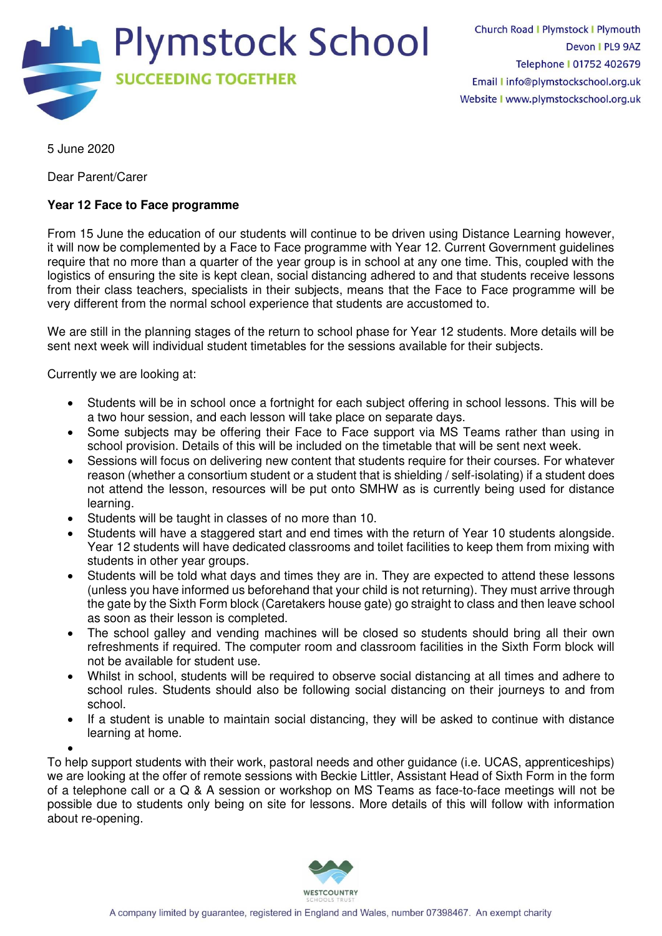

5 June 2020

Dear Parent/Carer

## **Year 12 Face to Face programme**

From 15 June the education of our students will continue to be driven using Distance Learning however, it will now be complemented by a Face to Face programme with Year 12. Current Government guidelines require that no more than a quarter of the year group is in school at any one time. This, coupled with the logistics of ensuring the site is kept clean, social distancing adhered to and that students receive lessons from their class teachers, specialists in their subjects, means that the Face to Face programme will be very different from the normal school experience that students are accustomed to.

We are still in the planning stages of the return to school phase for Year 12 students. More details will be sent next week will individual student timetables for the sessions available for their subjects.

Currently we are looking at:

- Students will be in school once a fortnight for each subject offering in school lessons. This will be a two hour session, and each lesson will take place on separate days.
- Some subjects may be offering their Face to Face support via MS Teams rather than using in school provision. Details of this will be included on the timetable that will be sent next week.
- Sessions will focus on delivering new content that students require for their courses. For whatever reason (whether a consortium student or a student that is shielding / self-isolating) if a student does not attend the lesson, resources will be put onto SMHW as is currently being used for distance learning.
- Students will be taught in classes of no more than 10.
- Students will have a staggered start and end times with the return of Year 10 students alongside. Year 12 students will have dedicated classrooms and toilet facilities to keep them from mixing with students in other year groups.
- Students will be told what days and times they are in. They are expected to attend these lessons (unless you have informed us beforehand that your child is not returning). They must arrive through the gate by the Sixth Form block (Caretakers house gate) go straight to class and then leave school as soon as their lesson is completed.
- The school galley and vending machines will be closed so students should bring all their own refreshments if required. The computer room and classroom facilities in the Sixth Form block will not be available for student use.
- Whilst in school, students will be required to observe social distancing at all times and adhere to school rules. Students should also be following social distancing on their journeys to and from school.
- If a student is unable to maintain social distancing, they will be asked to continue with distance learning at home.

• To help support students with their work, pastoral needs and other guidance (i.e. UCAS, apprenticeships) we are looking at the offer of remote sessions with Beckie Littler, Assistant Head of Sixth Form in the form of a telephone call or a Q & A session or workshop on MS Teams as face-to-face meetings will not be possible due to students only being on site for lessons. More details of this will follow with information about re-opening.